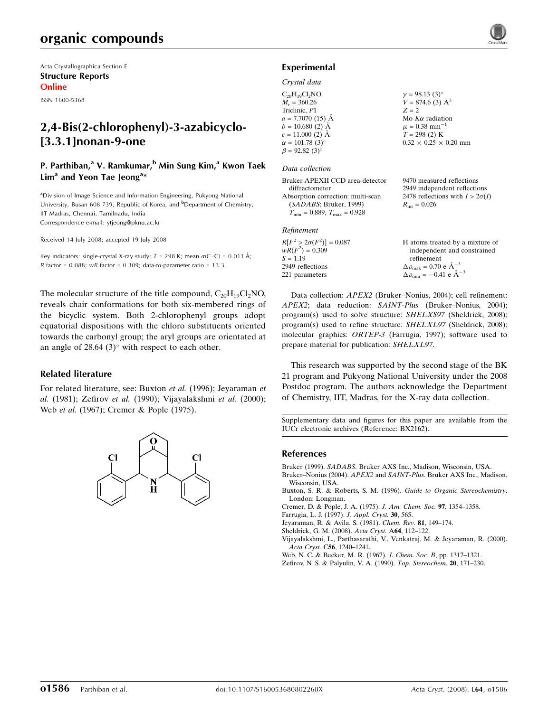Acta Crystallographica Section E Structure Reports Online

ISSN 1600-5368

## 2,4-Bis(2-chlorophenyl)-3-azabicyclo- [3.3.1]nonan-9-one

## P. Parthiban,<sup>a</sup> V. Ramkumar,<sup>b</sup> Min Sung Kim,<sup>a</sup> Kwon Taek Lim<sup>a</sup> and Yeon Tae Jeong<sup>a\*</sup>

<sup>a</sup>Division of Image Science and Information Engineering, Pukyong National University, Busan 608 739, Republic of Korea, and <sup>b</sup>Department of Chemistry, IIT Madras, Chennai, Tamilnadu, India Correspondence e-mail: ytjeong@pknu.ac.kr

Received 14 July 2008; accepted 19 July 2008

Key indicators: single-crystal X-ray study;  $T = 298$  K; mean  $\sigma$ (C–C) = 0.011 Å; R factor =  $0.088$ ; wR factor =  $0.309$ ; data-to-parameter ratio = 13.3.

The molecular structure of the title compound,  $C_{20}H_{19}Cl_2NO$ , reveals chair conformations for both six-membered rings of the bicyclic system. Both 2-chlorophenyl groups adopt equatorial dispositions with the chloro substituents oriented towards the carbonyl group; the aryl groups are orientated at an angle of  $28.64$  (3) $^{\circ}$  with respect to each other.

## Related literature

For related literature, see: Buxton et al. (1996); Jeyaraman et al. (1981); Zefirov et al. (1990); Vijayalakshmi et al. (2000); Web et al. (1967); Cremer & Pople (1975).



## Experimental

#### Crystal data

| $C_{20}H_{19}Cl_2NO$   | $\gamma = 98.13(3)^{\circ}$       |
|------------------------|-----------------------------------|
| $M_r = 360.26$         | $V = 874.6$ (3) $\AA^3$           |
| Triclinic, P1          | $Z = 2$                           |
| $a = 7.7070$ (15) Å    | Mo $K\alpha$ radiation            |
| $b = 10.680(2)$ Å      | $\mu = 0.38$ mm <sup>-1</sup>     |
| $c = 11.000$ (2) Å     | $T = 298(2)$ K                    |
| $\alpha = 101.78(3)$ ° | $0.32 \times 0.25 \times 0.20$ mm |
| $\beta = 92.82(3)$ °   |                                   |

#### Data collection

| Bruker APEXII CCD area-detector      | 9470 measured reflections              |
|--------------------------------------|----------------------------------------|
| diffractometer                       | 2949 independent reflections           |
| Absorption correction: multi-scan    | 2478 reflections with $I > 2\sigma(I)$ |
| (SADABS; Bruker, 1999)               | $R_{\rm int} = 0.026$                  |
| $T_{\min} = 0.889, T_{\max} = 0.928$ |                                        |
| Refinement                           |                                        |

| $R[F^2 > 2\sigma(F^2)] = 0.087$ | H atoms treated by a mixture of                    |
|---------------------------------|----------------------------------------------------|
| $wR(F^2) = 0.309$               | independent and constrained                        |
| $S = 1.19$                      | refinement                                         |
| 2949 reflections                | $\Delta \rho_{\text{max}} = 0.70 \text{ e A}^{-3}$ |
| 221 parameters                  | $\Delta \rho_{\text{min}} = -0.41$ e $\AA^{-3}$    |

Data collection: APEX2 (Bruker–Nonius, 2004); cell refinement: APEX2; data reduction: SAINT-Plus (Bruker–Nonius, 2004); program(s) used to solve structure: SHELXS97 (Sheldrick, 2008); program(s) used to refine structure: SHELXL97 (Sheldrick, 2008); molecular graphics: ORTEP-3 (Farrugia, 1997); software used to prepare material for publication: SHELXL97.

This research was supported by the second stage of the BK 21 program and Pukyong National University under the 2008 Postdoc program. The authors acknowledge the Department of Chemistry, IIT, Madras, for the X-ray data collection.

Supplementary data and figures for this paper are available from the IUCr electronic archives (Reference: BX2162).

#### References

Bruker (1999). SADABS. Bruker AXS Inc., Madison, Wisconsin, USA.

Bruker–Nonius (2004). APEX2 and SAINT-Plus. Bruker AXS Inc., Madison, Wisconsin, USA.

Buxton, S. R. & Roberts, S. M. (1996). Guide to Organic Stereochemistry. London: Longman.

Cremer, D. & Pople, J. A. (1975). J. Am. Chem. Soc. 97, 1354–1358.

Farrugia, L. J. (1997). J. Appl. Cryst. 30, 565.

Jeyaraman, R. & Avila, S. (1981). Chem. Rev. 81, 149–174.

Sheldrick, G. M. (2008). Acta Cryst. A64, 112–122.

Vijayalakshmi, L., Parthasarathi, V., Venkatraj, M. & Jeyaraman, R. (2000). Acta Cryst. C56, 1240–1241.

Web, N. C. & Becker, M. R. (1967). J. Chem. Soc. B, pp. 1317–1321.

Zefirov, N. S. & Palyulin, V. A. (1990). Top. Stereochem. 20, 171–230.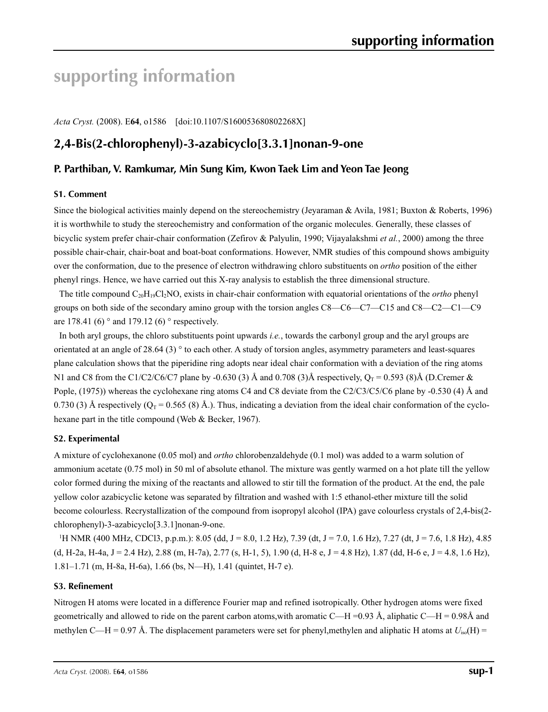# **supporting information**

*Acta Cryst.* (2008). E**64**, o1586 [doi:10.1107/S160053680802268X]

## **2,4-Bis(2-chlorophenyl)-3-azabicyclo[3.3.1]nonan-9-one**

## **P. Parthiban, V. Ramkumar, Min Sung Kim, Kwon Taek Lim and Yeon Tae Jeong**

## **S1. Comment**

Since the biological activities mainly depend on the stereochemistry (Jeyaraman & Avila, 1981; Buxton & Roberts, 1996) it is worthwhile to study the stereochemistry and conformation of the organic molecules. Generally, these classes of bicyclic system prefer chair-chair conformation (Zefirov & Palyulin, 1990; Vijayalakshmi *et al.*, 2000) among the three possible chair-chair, chair-boat and boat-boat conformations. However, NMR studies of this compound shows ambiguity over the conformation, due to the presence of electron withdrawing chloro substituents on *ortho* position of the either phenyl rings. Hence, we have carried out this X-ray analysis to establish the three dimensional structure.

The title compound C20H19Cl2NO, exists in chair-chair conformation with equatorial orientations of the *ortho* phenyl groups on both side of the secondary amino group with the torsion angles C8—C6—C7—C15 and C8—C2—C1—C9 are 178.41 (6)  $\degree$  and 179.12 (6)  $\degree$  respectively.

In both aryl groups, the chloro substituents point upwards *i.e.*, towards the carbonyl group and the aryl groups are orientated at an angle of 28.64 (3) ° to each other. A study of torsion angles, asymmetry parameters and least-squares plane calculation shows that the piperidine ring adopts near ideal chair conformation with a deviation of the ring atoms N1 and C8 from the C1/C2/C6/C7 plane by -0.630 (3) Å and 0.708 (3)Å respectively,  $Q_T = 0.593$  (8)Å (D.Cremer & Pople, (1975)) whereas the cyclohexane ring atoms C4 and C8 deviate from the C2/C3/C5/C6 plane by -0.530 (4) Å and 0.730 (3) Å respectively ( $O<sub>T</sub>$  = 0.565 (8) Å.). Thus, indicating a deviation from the ideal chair conformation of the cyclohexane part in the title compound (Web & Becker, 1967).

## **S2. Experimental**

A mixture of cyclohexanone (0.05 mol) and *ortho* chlorobenzaldehyde (0.1 mol) was added to a warm solution of ammonium acetate (0.75 mol) in 50 ml of absolute ethanol. The mixture was gently warmed on a hot plate till the yellow color formed during the mixing of the reactants and allowed to stir till the formation of the product. At the end, the pale yellow color azabicyclic ketone was separated by filtration and washed with 1:5 ethanol-ether mixture till the solid become colourless. Recrystallization of the compound from isopropyl alcohol (IPA) gave colourless crystals of 2,4-bis(2 chlorophenyl)-3-azabicyclo[3.3.1]nonan-9-one.

1 H NMR (400 MHz, CDCl3, p.p.m.): 8.05 (dd, J = 8.0, 1.2 Hz), 7.39 (dt, J = 7.0, 1.6 Hz), 7.27 (dt, J = 7.6, 1.8 Hz), 4.85  $(d, H-2a, H-4a, J = 2.4 Hz)$ , 2.88 (m, H-7a), 2.77 (s, H-1, 5), 1.90 (d, H-8 e, J = 4.8 Hz), 1.87 (dd, H-6 e, J = 4.8, 1.6 Hz), 1.81–1.71 (m, H-8a, H-6a), 1.66 (bs, N—H), 1.41 (quintet, H-7 e).

## **S3. Refinement**

Nitrogen H atoms were located in a difference Fourier map and refined isotropically. Other hydrogen atoms were fixed geometrically and allowed to ride on the parent carbon atoms, with aromatic C—H =0.93 Å, aliphatic C—H = 0.98Å and methylen C—H = 0.97 Å. The displacement parameters were set for phenyl,methylen and aliphatic H atoms at  $U_{iso}(H)$  =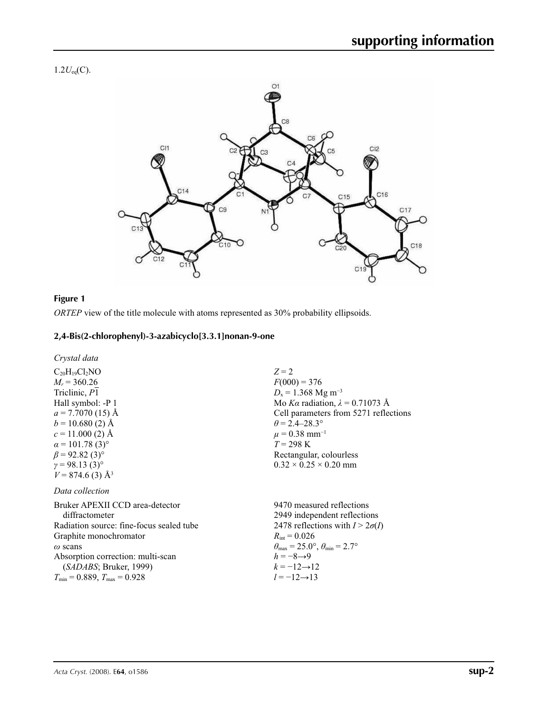$1.2U_{eq}(C)$ .



## **Figure 1**

*ORTEP* view of the title molecule with atoms represented as 30% probability ellipsoids.

## **2,4-Bis(2-chlorophenyl)-3-azabicyclo[3.3.1]nonan-9-one**

*Crystal data*

 $C_{20}H_{19}Cl_2NO$  $M_r = 360.26$ Triclinic, *P*1 Hall symbol: -P 1  $a = 7.7070(15)$  Å  $b = 10.680(2)$  Å  $c = 11.000$  (2) Å  $\alpha$  = 101.78 (3)<sup>°</sup>  $\beta$  = 92.82 (3)<sup>°</sup>  $γ = 98.13(3)°$  $V = 874.6$  (3)  $\AA$ <sup>3</sup>

## *Data collection*

Bruker APEXII CCD area-detector diffractometer Radiation source: fine-focus sealed tube Graphite monochromator *ω* scans Absorption correction: multi-scan (*SADABS*; Bruker, 1999)  $T_{\text{min}} = 0.889, T_{\text{max}} = 0.928$ 

*Z* = 2  $F(000) = 376$  $D_x = 1.368$  Mg m<sup>-3</sup> Mo *Kα* radiation, *λ* = 0.71073 Å Cell parameters from 5271 reflections  $\theta = 2.4 - 28.3^{\circ}$  $\mu$  = 0.38 mm<sup>-1</sup>  $T = 298$  K Rectangular, colourless  $0.32 \times 0.25 \times 0.20$  mm

9470 measured reflections 2949 independent reflections 2478 reflections with  $I > 2\sigma(I)$  $R_{\text{int}} = 0.026$  $\theta_{\text{max}} = 25.0^{\circ}, \theta_{\text{min}} = 2.7^{\circ}$  $h = -8 \rightarrow 9$  $k = -12 \rightarrow 12$ *l* = −12→13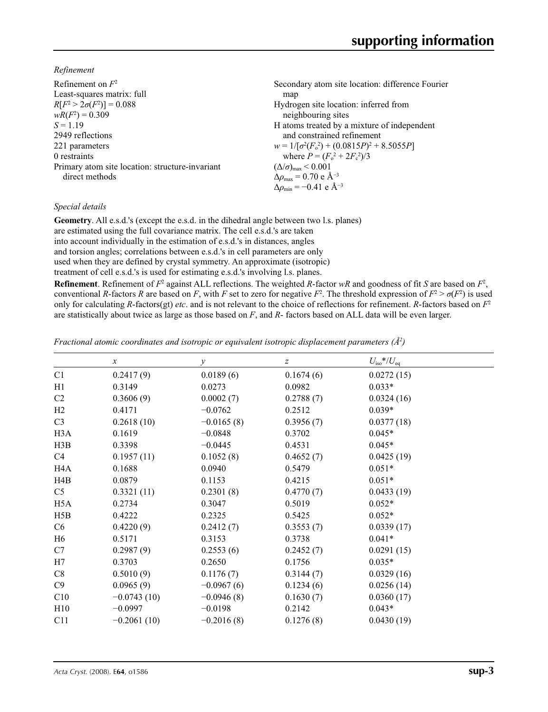*Refinement*

| Refinement on $F^2$                             | Secondary atom site location: difference Fourier          |
|-------------------------------------------------|-----------------------------------------------------------|
| Least-squares matrix: full                      | map                                                       |
| $R[F^2 > 2\sigma(F^2)] = 0.088$                 | Hydrogen site location: inferred from                     |
| $wR(F^2) = 0.309$                               | neighbouring sites                                        |
| $S = 1.19$                                      | H atoms treated by a mixture of independent               |
| 2949 reflections                                | and constrained refinement                                |
| 221 parameters                                  | $w = 1/[\sigma^2(F_0^2) + (0.0815P)^2 + 8.5055P]$         |
| 0 restraints                                    | where $P = (F_0^2 + 2F_c^2)/3$                            |
| Primary atom site location: structure-invariant | $(\Delta/\sigma)_{\text{max}}$ < 0.001                    |
| direct methods                                  | $\Delta\rho_{\text{max}}$ = 0.70 e Å <sup>-3</sup>        |
|                                                 | $\Delta\rho_{\rm min} = -0.41 \text{ e } \text{\AA}^{-3}$ |

## *Special details*

**Geometry**. All e.s.d.'s (except the e.s.d. in the dihedral angle between two l.s. planes) are estimated using the full covariance matrix. The cell e.s.d.'s are taken into account individually in the estimation of e.s.d.'s in distances, angles and torsion angles; correlations between e.s.d.'s in cell parameters are only used when they are defined by crystal symmetry. An approximate (isotropic) treatment of cell e.s.d.'s is used for estimating e.s.d.'s involving l.s. planes.

**Refinement**. Refinement of  $F^2$  against ALL reflections. The weighted *R*-factor  $wR$  and goodness of fit *S* are based on  $F^2$ , conventional *R*-factors *R* are based on *F*, with *F* set to zero for negative *F*<sup>2</sup>. The threshold expression of  $F^2 > \sigma(F^2)$  is used only for calculating *R*-factors(gt) *etc*. and is not relevant to the choice of reflections for refinement. *R*-factors based on *F*<sup>2</sup> are statistically about twice as large as those based on *F*, and *R*- factors based on ALL data will be even larger.

*Fractional atomic coordinates and isotropic or equivalent isotropic displacement parameters (Å2 )*

|                  | $\boldsymbol{x}$ | $\mathcal{Y}$ | $\boldsymbol{Z}$ | $U_{\rm iso}$ */ $U_{\rm eq}$ |  |
|------------------|------------------|---------------|------------------|-------------------------------|--|
| C1               | 0.2417(9)        | 0.0189(6)     | 0.1674(6)        | 0.0272(15)                    |  |
| H1               | 0.3149           | 0.0273        | 0.0982           | $0.033*$                      |  |
| C <sub>2</sub>   | 0.3606(9)        | 0.0002(7)     | 0.2788(7)        | 0.0324(16)                    |  |
| H2               | 0.4171           | $-0.0762$     | 0.2512           | $0.039*$                      |  |
| C <sub>3</sub>   | 0.2618(10)       | $-0.0165(8)$  | 0.3956(7)        | 0.0377(18)                    |  |
| H <sub>3</sub> A | 0.1619           | $-0.0848$     | 0.3702           | $0.045*$                      |  |
| H3B              | 0.3398           | $-0.0445$     | 0.4531           | $0.045*$                      |  |
| C4               | 0.1957(11)       | 0.1052(8)     | 0.4652(7)        | 0.0425(19)                    |  |
| H <sub>4</sub> A | 0.1688           | 0.0940        | 0.5479           | $0.051*$                      |  |
| H4B              | 0.0879           | 0.1153        | 0.4215           | $0.051*$                      |  |
| C <sub>5</sub>   | 0.3321(11)       | 0.2301(8)     | 0.4770(7)        | 0.0433(19)                    |  |
| H <sub>5</sub> A | 0.2734           | 0.3047        | 0.5019           | $0.052*$                      |  |
| H5B              | 0.4222           | 0.2325        | 0.5425           | $0.052*$                      |  |
| C6               | 0.4220(9)        | 0.2412(7)     | 0.3553(7)        | 0.0339(17)                    |  |
| H <sub>6</sub>   | 0.5171           | 0.3153        | 0.3738           | $0.041*$                      |  |
| C7               | 0.2987(9)        | 0.2553(6)     | 0.2452(7)        | 0.0291(15)                    |  |
| H7               | 0.3703           | 0.2650        | 0.1756           | $0.035*$                      |  |
| C8               | 0.5010(9)        | 0.1176(7)     | 0.3144(7)        | 0.0329(16)                    |  |
| C9               | 0.0965(9)        | $-0.0967(6)$  | 0.1234(6)        | 0.0256(14)                    |  |
| C10              | $-0.0743(10)$    | $-0.0946(8)$  | 0.1630(7)        | 0.0360(17)                    |  |
| H10              | $-0.0997$        | $-0.0198$     | 0.2142           | $0.043*$                      |  |
| C11              | $-0.2061(10)$    | $-0.2016(8)$  | 0.1276(8)        | 0.0430(19)                    |  |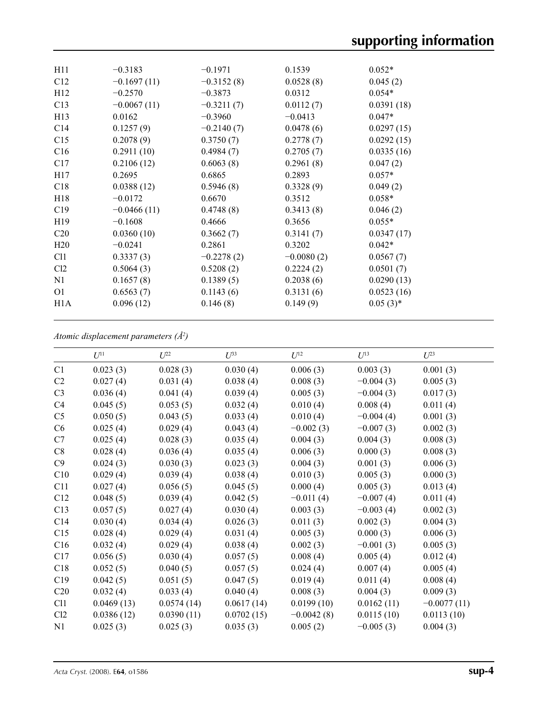| H11              | $-0.3183$     | $-0.1971$    | 0.1539       | $0.052*$    |
|------------------|---------------|--------------|--------------|-------------|
| C12              | $-0.1697(11)$ | $-0.3152(8)$ | 0.0528(8)    | 0.045(2)    |
| H <sub>12</sub>  | $-0.2570$     | $-0.3873$    | 0.0312       | $0.054*$    |
| C13              | $-0.0067(11)$ | $-0.3211(7)$ | 0.0112(7)    | 0.0391(18)  |
| H13              | 0.0162        | $-0.3960$    | $-0.0413$    | $0.047*$    |
| C14              | 0.1257(9)     | $-0.2140(7)$ | 0.0478(6)    | 0.0297(15)  |
| C15              | 0.2078(9)     | 0.3750(7)    | 0.2778(7)    | 0.0292(15)  |
| C16              | 0.2911(10)    | 0.4984(7)    | 0.2705(7)    | 0.0335(16)  |
| C17              | 0.2106(12)    | 0.6063(8)    | 0.2961(8)    | 0.047(2)    |
| H17              | 0.2695        | 0.6865       | 0.2893       | $0.057*$    |
| C18              | 0.0388(12)    | 0.5946(8)    | 0.3328(9)    | 0.049(2)    |
| H18              | $-0.0172$     | 0.6670       | 0.3512       | $0.058*$    |
| C19              | $-0.0466(11)$ | 0.4748(8)    | 0.3413(8)    | 0.046(2)    |
| H <sub>19</sub>  | $-0.1608$     | 0.4666       | 0.3656       | $0.055*$    |
| C <sub>20</sub>  | 0.0360(10)    | 0.3662(7)    | 0.3141(7)    | 0.0347(17)  |
| H20              | $-0.0241$     | 0.2861       | 0.3202       | $0.042*$    |
| C <sub>11</sub>  | 0.3337(3)     | $-0.2278(2)$ | $-0.0080(2)$ | 0.0567(7)   |
| Cl2              | 0.5064(3)     | 0.5208(2)    | 0.2224(2)    | 0.0501(7)   |
| N1               | 0.1657(8)     | 0.1389(5)    | 0.2038(6)    | 0.0290(13)  |
| O <sub>1</sub>   | 0.6563(7)     | 0.1143(6)    | 0.3131(6)    | 0.0523(16)  |
| H <sub>1</sub> A | 0.096(12)     | 0.146(8)     | 0.149(9)     | $0.05(3)$ * |
|                  |               |              |              |             |

*Atomic displacement parameters (Å2 )*

| $U^{11}$   | $U^{22}$   | $U^{33}$   | $U^{12}$     | $U^{13}$    | $U^{23}$      |
|------------|------------|------------|--------------|-------------|---------------|
| 0.023(3)   | 0.028(3)   | 0.030(4)   | 0.006(3)     | 0.003(3)    | 0.001(3)      |
| 0.027(4)   | 0.031(4)   | 0.038(4)   | 0.008(3)     | $-0.004(3)$ | 0.005(3)      |
| 0.036(4)   | 0.041(4)   | 0.039(4)   | 0.005(3)     | $-0.004(3)$ | 0.017(3)      |
| 0.045(5)   | 0.053(5)   | 0.032(4)   | 0.010(4)     | 0.008(4)    | 0.011(4)      |
| 0.050(5)   | 0.043(5)   | 0.033(4)   | 0.010(4)     | $-0.004(4)$ | 0.001(3)      |
| 0.025(4)   | 0.029(4)   | 0.043(4)   | $-0.002(3)$  | $-0.007(3)$ | 0.002(3)      |
| 0.025(4)   | 0.028(3)   | 0.035(4)   | 0.004(3)     | 0.004(3)    | 0.008(3)      |
| 0.028(4)   | 0.036(4)   | 0.035(4)   | 0.006(3)     | 0.000(3)    | 0.008(3)      |
| 0.024(3)   | 0.030(3)   | 0.023(3)   | 0.004(3)     | 0.001(3)    | 0.006(3)      |
| 0.029(4)   | 0.039(4)   | 0.038(4)   | 0.010(3)     | 0.005(3)    | 0.000(3)      |
| 0.027(4)   | 0.056(5)   | 0.045(5)   | 0.000(4)     | 0.005(3)    | 0.013(4)      |
| 0.048(5)   | 0.039(4)   | 0.042(5)   | $-0.011(4)$  | $-0.007(4)$ | 0.011(4)      |
| 0.057(5)   | 0.027(4)   | 0.030(4)   | 0.003(3)     | $-0.003(4)$ | 0.002(3)      |
| 0.030(4)   | 0.034(4)   | 0.026(3)   | 0.011(3)     | 0.002(3)    | 0.004(3)      |
| 0.028(4)   | 0.029(4)   | 0.031(4)   | 0.005(3)     | 0.000(3)    | 0.006(3)      |
| 0.032(4)   | 0.029(4)   | 0.038(4)   | 0.002(3)     | $-0.001(3)$ | 0.005(3)      |
| 0.056(5)   | 0.030(4)   | 0.057(5)   | 0.008(4)     | 0.005(4)    | 0.012(4)      |
| 0.052(5)   | 0.040(5)   | 0.057(5)   | 0.024(4)     | 0.007(4)    | 0.005(4)      |
| 0.042(5)   | 0.051(5)   | 0.047(5)   | 0.019(4)     | 0.011(4)    | 0.008(4)      |
| 0.032(4)   | 0.033(4)   | 0.040(4)   | 0.008(3)     | 0.004(3)    | 0.009(3)      |
| 0.0469(13) | 0.0574(14) | 0.0617(14) | 0.0199(10)   | 0.0162(11)  | $-0.0077(11)$ |
| 0.0386(12) | 0.0390(11) | 0.0702(15) | $-0.0042(8)$ | 0.0115(10)  | 0.0113(10)    |
| 0.025(3)   | 0.025(3)   | 0.035(3)   | 0.005(2)     | $-0.005(3)$ | 0.004(3)      |
|            |            |            |              |             |               |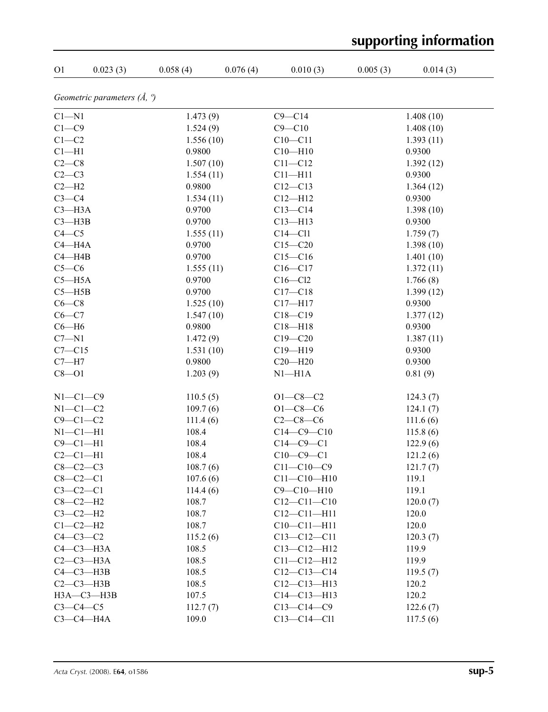| supporting information |                                       |           |          |                   |          |           |
|------------------------|---------------------------------------|-----------|----------|-------------------|----------|-----------|
| O <sub>1</sub>         | 0.023(3)                              | 0.058(4)  | 0.076(4) | 0.010(3)          | 0.005(3) | 0.014(3)  |
|                        | Geometric parameters $(\AA, \degree)$ |           |          |                   |          |           |
| $C1 - N1$              |                                       | 1.473(9)  |          | $C9 - C14$        |          | 1.408(10) |
| $C1 - C9$              |                                       | 1.524(9)  |          | $C9 - C10$        |          | 1.408(10) |
| $C1-C2$                |                                       | 1.556(10) |          | $C10 - C11$       |          | 1.393(11) |
| $Cl-H1$                |                                       | 0.9800    |          | $C10 - H10$       |          | 0.9300    |
| $C2-C8$                |                                       | 1.507(10) |          | $C11 - C12$       |          | 1.392(12) |
| $C2-C3$                |                                       | 1.554(11) |          | $C11 - H11$       |          | 0.9300    |
| $C2-H2$                |                                       | 0.9800    |          | $C12 - C13$       |          | 1.364(12) |
| $C3-C4$                |                                       | 1.534(11) |          | $C12 - H12$       |          | 0.9300    |
| $C3 - H3A$             |                                       | 0.9700    |          | $C13 - C14$       |          | 1.398(10) |
| $C3 - H3B$             |                                       | 0.9700    |          | $C13 - H13$       |          | 0.9300    |
| $C4 - C5$              |                                       | 1.555(11) |          | $C14 - C11$       |          | 1.759(7)  |
| $C4 - H4A$             |                                       | 0.9700    |          | $C15 - C20$       |          | 1.398(10) |
| $C4 - H4B$             |                                       | 0.9700    |          | $C15-C16$         |          | 1.401(10) |
| $C5-C6$                |                                       | 1.555(11) |          | $C16 - C17$       |          | 1.372(11) |
| $C5 - H5A$             |                                       | 0.9700    |          | $C16 - C12$       |          | 1.766(8)  |
| $C5 - H5B$             |                                       | 0.9700    |          | $C17 - C18$       |          | 1.399(12) |
| $C6-C8$                |                                       | 1.525(10) |          | $C17 - H17$       |          | 0.9300    |
| $C6-C7$                |                                       | 1.547(10) |          | $C18 - C19$       |          | 1.377(12) |
| $C6 - H6$              |                                       | 0.9800    |          | $C18 - H18$       |          | 0.9300    |
| $C7 - N1$              |                                       | 1.472(9)  |          | $C19 - C20$       |          | 1.387(11) |
| $C7 - C15$             |                                       | 1.531(10) |          | $C19 - H19$       |          | 0.9300    |
| $C7 - H7$              |                                       | 0.9800    |          | $C20 - H20$       |          | 0.9300    |
| $C8 - O1$              |                                       | 1.203(9)  |          | $N1 - H1A$        |          | 0.81(9)   |
|                        |                                       |           |          |                   |          |           |
| $N1-C1-C9$             |                                       | 110.5(5)  |          | $O1 - C8 - C2$    |          | 124.3(7)  |
| $N1-C1-C2$             |                                       | 109.7(6)  |          | $O1 - C8 - C6$    |          | 124.1(7)  |
| $C9 - C1 - C2$         |                                       | 111.4(6)  |          | $C2-C8-C6$        |          | 111.6(6)  |
| $N1-C1-H1$             |                                       | 108.4     |          | $C14 - C9 - C10$  |          | 115.8(6)  |
| $C9 - C1 - H1$         |                                       | 108.4     |          | $C14-C9-C1$       |          | 122.9(6)  |
| $C2-C1-H1$             |                                       | 108.4     |          | $C10-C9-C1$       |          | 121.2(6)  |
| $C8-C2-C3$             |                                       | 108.7(6)  |          | $C11 - C10 - C9$  |          | 121.7(7)  |
| $C8 - C2 - C1$         |                                       | 107.6(6)  |          | $C11 - C10 - H10$ |          | 119.1     |
| $C3-C2-C1$             |                                       | 114.4(6)  |          | $C9 - C10 - H10$  |          | 119.1     |
| $C8-C2-H2$             |                                       | 108.7     |          | $C12 - C11 - C10$ |          | 120.0(7)  |
| $C3-C2-H2$             |                                       | 108.7     |          | $C12 - C11 - H11$ |          | 120.0     |
| $C1-C2-H2$             |                                       | 108.7     |          | $C10 - C11 - H11$ |          | 120.0     |
| $C4-C3-C2$             |                                       | 115.2(6)  |          | $C13 - C12 - C11$ |          | 120.3(7)  |
|                        | $C4-C3-H3A$                           | 108.5     |          | $C13 - C12 - H12$ |          | 119.9     |
|                        | $C2-C3-H3A$                           | 108.5     |          | $C11 - C12 - H12$ |          | 119.9     |
|                        | $C4 - C3 - H3B$                       | 108.5     |          | $C12-C13-C14$     |          | 119.5(7)  |
|                        | $C2-C3-H3B$                           | 108.5     |          | $C12 - C13 - H13$ |          | 120.2     |
|                        | НЗА-СЗ-НЗВ                            | 107.5     |          | $C14 - C13 - H13$ |          | 120.2     |
| $C3-C4-C5$             |                                       | 112.7(7)  |          | $C13-C14-C9$      |          | 122.6(7)  |
|                        | $C3-C4-H4A$                           | 109.0     |          | $C13 - C14 - C11$ |          | 117.5(6)  |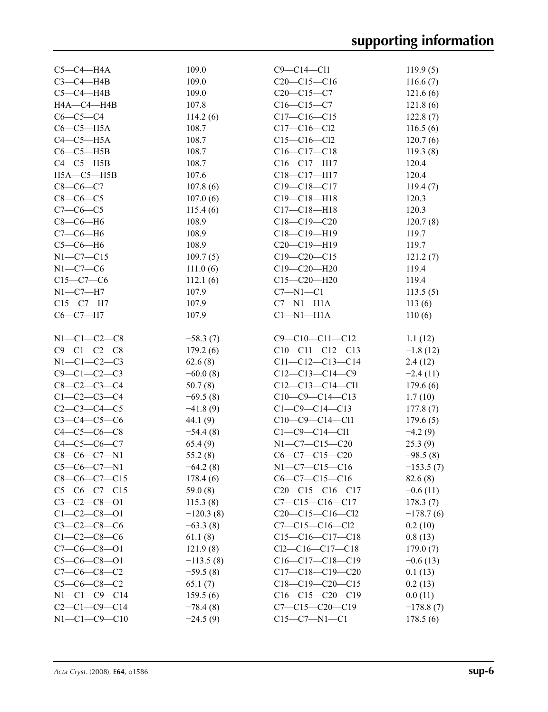| $C5-C4-H4A$          | 109.0       | $C9 - C14 - C11$       | 119.9(5)    |
|----------------------|-------------|------------------------|-------------|
| $C3-C4-HAB$          | 109.0       | $C20-C15-C16$          | 116.6(7)    |
| $C5-C4-H4B$          | 109.0       | $C20-C15-C7$           | 121.6(6)    |
| HA—C4—H4B            | 107.8       | $C16 - C15 - C7$       | 121.8(6)    |
| $C6-C5-C4$           | 114.2(6)    | $C17-C16-C15$          | 122.8(7)    |
| $C6-C5-H5A$          | 108.7       | $C17 - C16 - C12$      | 116.5(6)    |
| $C4-C5-H5A$          | 108.7       | $C15 - C16 - C12$      | 120.7(6)    |
| $C6-C5-H5B$          | 108.7       | $C16 - C17 - C18$      | 119.3(8)    |
| $C4-C5-H5B$          | 108.7       | $C16 - C17 - H17$      | 120.4       |
| $H5A - C5 - H5B$     | 107.6       | $C18 - C17 - H17$      | 120.4       |
| $C8-C6-C7$           | 107.8(6)    | $C19 - C18 - C17$      | 119.4(7)    |
| $C8-C6-C5$           | 107.0(6)    | $C19 - C18 - H18$      | 120.3       |
| $C7-C6-C5$           | 115.4(6)    | $C17 - C18 - H18$      | 120.3       |
| $C8-C6-H6$           | 108.9       | $C18 - C19 - C20$      | 120.7(8)    |
| $C7-C6-H6$           | 108.9       | $C18 - C19 - H19$      | 119.7       |
| $C5-C6-H6$           | 108.9       | $C20-C19-H19$          | 119.7       |
| $N1-C7-C15$          | 109.7(5)    | $C19 - C20 - C15$      | 121.2(7)    |
| $N1-C7-C6$           | 111.0(6)    | $C19 - C20 - H20$      | 119.4       |
| $C15-C7-C6$          | 112.1(6)    | $C15 - C20 - H20$      | 119.4       |
| $N1-C7-H7$           | 107.9       | $C7 - N1 - C1$         | 113.5(5)    |
| $C15-C7-H7$          | 107.9       | $C7 - N1 - H1A$        | 113(6)      |
| $C6 - C7 - H7$       | 107.9       | $Cl-M1-H1A$            | 110(6)      |
|                      |             |                        |             |
| $N1 - C1 - C2 - C8$  | $-58.3(7)$  | $C9 - C10 - C11 - C12$ | 1.1(12)     |
| $C9 - C1 - C2 - C8$  | 179.2(6)    | $C10-C11-C12-C13$      | $-1.8(12)$  |
| $N1-C1-C2-C3$        | 62.6(8)     | $C11-C12-C13-C14$      | 2.4(12)     |
| $C9 - C1 - C2 - C3$  | $-60.0(8)$  | $C12-C13-C14-C9$       | $-2.4(11)$  |
| $C8 - C2 - C3 - C4$  | 50.7(8)     | $C12-C13-C14-C11$      | 179.6(6)    |
| $C1-C2-C3-C4$        | $-69.5(8)$  | $C10-C9-C14-C13$       | 1.7(10)     |
| $C2 - C3 - C4 - C5$  | $-41.8(9)$  | $C1-C9-C14-C13$        | 177.8(7)    |
| $C3 - C4 - C5 - C6$  | 44.1 $(9)$  | $C10-C9-C14-C11$       | 179.6(5)    |
| $C4 - C5 - C6 - C8$  | $-54.4(8)$  | $C1 - C9 - C14 - C11$  | $-4.2(9)$   |
| $C4 - C5 - C6 - C7$  | 65.4(9)     | $N1-C7-C15-C20$        | 25.3(9)     |
| $C8-C6-C7-N1$        | 55.2(8)     | $C6-C7-C15-C20$        | $-98.5(8)$  |
| $C5-C6-C7-N1$        | $-64.2(8)$  | N1-C7-C15-C16          | $-153.5(7)$ |
| $C8-C6-C7-C15$       | 178.4(6)    | $C6-C7-C15-C16$        | 82.6(8)     |
| $C5-C6-C7-C15$       | 59.0(8)     | $C20-C15-C16-C17$      | $-0.6(11)$  |
| $C3 - C2 - C8 - 01$  | 115.3(8)    | $C7 - C15 - C16 - C17$ | 178.3(7)    |
| $C1 - C2 - C8 - 01$  | $-120.3(8)$ | $C20-C15-C16-C12$      | $-178.7(6)$ |
| $C3 - C2 - C8 - C6$  | $-63.3(8)$  | $C7 - C15 - C16 - C12$ | 0.2(10)     |
| $C1 - C2 - C8 - C6$  | 61.1(8)     | $C15-C16-C17-C18$      | 0.8(13)     |
| $C7-C6-C8-O1$        | 121.9(8)    | $Cl2-C16-C17-C18$      | 179.0(7)    |
| $C5-C6-C8-01$        | $-113.5(8)$ | $C16-C17-C18-C19$      | $-0.6(13)$  |
| $C7-C6-C8-C2$        | $-59.5(8)$  | $C17-C18-C19-C20$      | 0.1(13)     |
| $C5-C6-C8-C2$        | 65.1(7)     | $C18-C19-C20-C15$      | 0.2(13)     |
| $N1 - C1 - C9 - C14$ | 159.5(6)    | $C16-C15-C20-C19$      | 0.0(11)     |
| $C2-C1-C9-C14$       | $-78.4(8)$  | $C7 - C15 - C20 - C19$ | $-178.8(7)$ |
| $N1-C1-C9-C10$       | $-24.5(9)$  | $C15 - C7 - N1 - C1$   | 178.5(6)    |
|                      |             |                        |             |